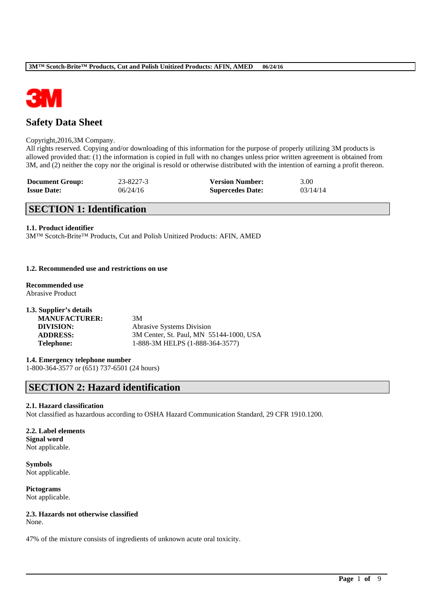

# **Safety Data Sheet**

## Copyright,2016,3M Company.

All rights reserved. Copying and/or downloading of this information for the purpose of properly utilizing 3M products is allowed provided that: (1) the information is copied in full with no changes unless prior written agreement is obtained from 3M, and (2) neither the copy nor the original is resold or otherwise distributed with the intention of earning a profit thereon.

| <b>Document Group:</b> | 23-8227-3 | <b>Version Number:</b>  | 3.00     |
|------------------------|-----------|-------------------------|----------|
| <b>Issue Date:</b>     | 06/24/16  | <b>Supercedes Date:</b> | 03/14/14 |

# **SECTION 1: Identification**

### **1.1. Product identifier**

3M™ Scotch-Brite™ Products, Cut and Polish Unitized Products: AFIN, AMED

## **1.2. Recommended use and restrictions on use**

**Recommended use** Abrasive Product

| 1.3. Supplier's details |                                         |
|-------------------------|-----------------------------------------|
| <b>MANUFACTURER:</b>    | 3M                                      |
| DIVISION:               | <b>Abrasive Systems Division</b>        |
| <b>ADDRESS:</b>         | 3M Center, St. Paul, MN 55144-1000, USA |
| <b>Telephone:</b>       | 1-888-3M HELPS (1-888-364-3577)         |

# **1.4. Emergency telephone number**

1-800-364-3577 or (651) 737-6501 (24 hours)

# **SECTION 2: Hazard identification**

#### **2.1. Hazard classification**

Not classified as hazardous according to OSHA Hazard Communication Standard, 29 CFR 1910.1200.

\_\_\_\_\_\_\_\_\_\_\_\_\_\_\_\_\_\_\_\_\_\_\_\_\_\_\_\_\_\_\_\_\_\_\_\_\_\_\_\_\_\_\_\_\_\_\_\_\_\_\_\_\_\_\_\_\_\_\_\_\_\_\_\_\_\_\_\_\_\_\_\_\_\_\_\_\_\_\_\_\_\_\_\_\_\_\_\_\_\_

## **2.2. Label elements Signal word** Not applicable.

**Symbols** Not applicable.

**Pictograms** Not applicable.

## **2.3. Hazards not otherwise classified**

None.

47% of the mixture consists of ingredients of unknown acute oral toxicity.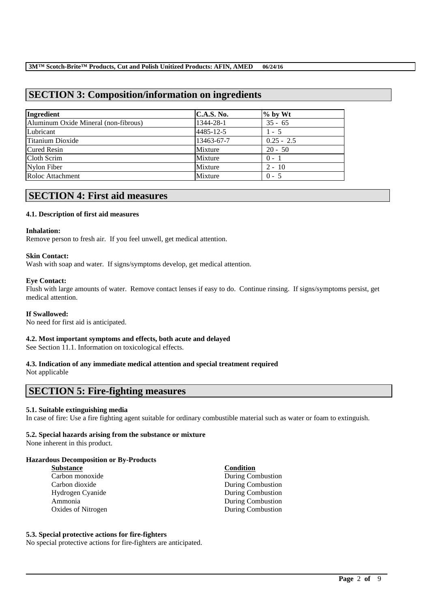# **SECTION 3: Composition/information on ingredients**

| Ingredient                           | <b>C.A.S. No.</b> | $%$ by Wt    |
|--------------------------------------|-------------------|--------------|
| Aluminum Oxide Mineral (non-fibrous) | 1344-28-1         | $35 - 65$    |
| Lubricant                            | 4485-12-5         | $1 - 5$      |
| Titanium Dioxide                     | 13463-67-7        | $0.25 - 2.5$ |
| <b>Cured Resin</b>                   | Mixture           | $20 - 50$    |
| Cloth Scrim                          | Mixture           | $0 - 1$      |
| Nylon Fiber                          | Mixture           | $2 - 10$     |
| Roloc Attachment                     | Mixture           | $0 - 5$      |

# **SECTION 4: First aid measures**

### **4.1. Description of first aid measures**

#### **Inhalation:**

Remove person to fresh air. If you feel unwell, get medical attention.

### **Skin Contact:**

Wash with soap and water. If signs/symptoms develop, get medical attention.

### **Eye Contact:**

Flush with large amounts of water. Remove contact lenses if easy to do. Continue rinsing. If signs/symptoms persist, get medical attention.

#### **If Swallowed:**

No need for first aid is anticipated.

## **4.2. Most important symptoms and effects, both acute and delayed**

See Section 11.1. Information on toxicological effects.

# **4.3. Indication of any immediate medical attention and special treatment required**

Not applicable

# **SECTION 5: Fire-fighting measures**

## **5.1. Suitable extinguishing media**

In case of fire: Use a fire fighting agent suitable for ordinary combustible material such as water or foam to extinguish.

\_\_\_\_\_\_\_\_\_\_\_\_\_\_\_\_\_\_\_\_\_\_\_\_\_\_\_\_\_\_\_\_\_\_\_\_\_\_\_\_\_\_\_\_\_\_\_\_\_\_\_\_\_\_\_\_\_\_\_\_\_\_\_\_\_\_\_\_\_\_\_\_\_\_\_\_\_\_\_\_\_\_\_\_\_\_\_\_\_\_

### **5.2. Special hazards arising from the substance or mixture**

None inherent in this product.

### **Hazardous Decomposition or By-Products**

**Substance Condition** Carbon monoxide During Combustion Carbon dioxide During Combustion Hydrogen Cyanide During Combustion Ammonia During Combustion Oxides of Nitrogen During Combustion

## **5.3. Special protective actions for fire-fighters**

No special protective actions for fire-fighters are anticipated.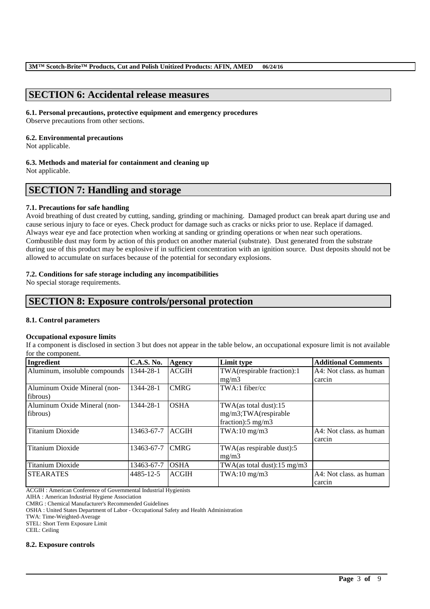# **SECTION 6: Accidental release measures**

### **6.1. Personal precautions, protective equipment and emergency procedures**

Observe precautions from other sections.

## **6.2. Environmental precautions**

Not applicable.

### **6.3. Methods and material for containment and cleaning up**

Not applicable.

# **SECTION 7: Handling and storage**

## **7.1. Precautions for safe handling**

Avoid breathing of dust created by cutting, sanding, grinding or machining. Damaged product can break apart during use and cause serious injury to face or eyes. Check product for damage such as cracks or nicks prior to use. Replace if damaged. Always wear eye and face protection when working at sanding or grinding operations or when near such operations. Combustible dust may form by action of this product on another material (substrate). Dust generated from the substrate during use of this product may be explosive if in sufficient concentration with an ignition source. Dust deposits should not be allowed to accumulate on surfaces because of the potential for secondary explosions.

## **7.2. Conditions for safe storage including any incompatibilities**

No special storage requirements.

# **SECTION 8: Exposure controls/personal protection**

## **8.1. Control parameters**

## **Occupational exposure limits**

If a component is disclosed in section 3 but does not appear in the table below, an occupational exposure limit is not available for the component.

| Ingredient                    | <b>C.A.S. No.</b> | Agency       | Limit type                    | <b>Additional Comments</b> |
|-------------------------------|-------------------|--------------|-------------------------------|----------------------------|
| Aluminum, insoluble compounds | 1344-28-1         | <b>ACGIH</b> | TWA(respirable fraction):1    | A4: Not class, as human    |
|                               |                   |              | mg/m3                         | carcin                     |
| Aluminum Oxide Mineral (non-  | 1344-28-1         | <b>CMRG</b>  | $TWA:1$ fiber/cc              |                            |
| fibrous)                      |                   |              |                               |                            |
| Aluminum Oxide Mineral (non-  | 1344-28-1         | <b>OSHA</b>  | $TWA$ (as total dust):15      |                            |
| fibrous)                      |                   |              | mg/m3;TWA(respirable          |                            |
|                               |                   |              | fraction): $5 \text{ mg/m}$ 3 |                            |
| Titanium Dioxide              | 13463-67-7        | <b>ACGIH</b> | $TWA:10$ mg/m $3$             | A4: Not class, as human    |
|                               |                   |              |                               | carcin                     |
| <b>Titanium Dioxide</b>       | 13463-67-7        | <b>CMRG</b>  | TWA(as respirable dust):5     |                            |
|                               |                   |              | mg/m3                         |                            |
| <b>Titanium Dioxide</b>       | 13463-67-7        | <b>OSHA</b>  | TWA(as total dust):15 mg/m3   |                            |
| <b>STEARATES</b>              | 4485-12-5         | <b>ACGIH</b> | $TWA:10$ mg/m $3$             | A4: Not class, as human    |
|                               |                   |              |                               | carcin                     |

\_\_\_\_\_\_\_\_\_\_\_\_\_\_\_\_\_\_\_\_\_\_\_\_\_\_\_\_\_\_\_\_\_\_\_\_\_\_\_\_\_\_\_\_\_\_\_\_\_\_\_\_\_\_\_\_\_\_\_\_\_\_\_\_\_\_\_\_\_\_\_\_\_\_\_\_\_\_\_\_\_\_\_\_\_\_\_\_\_\_

ACGIH : American Conference of Governmental Industrial Hygienists

AIHA : American Industrial Hygiene Association

CMRG : Chemical Manufacturer's Recommended Guidelines

OSHA : United States Department of Labor - Occupational Safety and Health Administration

TWA: Time-Weighted-Average

STEL: Short Term Exposure Limit

CEIL: Ceiling

#### **8.2. Exposure controls**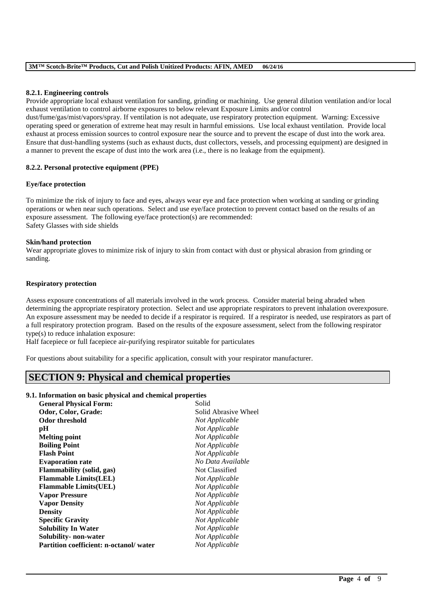## **8.2.1. Engineering controls**

Provide appropriate local exhaust ventilation for sanding, grinding or machining. Use general dilution ventilation and/or local exhaust ventilation to control airborne exposures to below relevant Exposure Limits and/or control

dust/fume/gas/mist/vapors/spray. If ventilation is not adequate, use respiratory protection equipment. Warning: Excessive operating speed or generation of extreme heat may result in harmful emissions. Use local exhaust ventilation. Provide local exhaust at process emission sources to control exposure near the source and to prevent the escape of dust into the work area. Ensure that dust-handling systems (such as exhaust ducts, dust collectors, vessels, and processing equipment) are designed in a manner to prevent the escape of dust into the work area (i.e., there is no leakage from the equipment).

### **8.2.2. Personal protective equipment (PPE)**

### **Eye/face protection**

To minimize the risk of injury to face and eyes, always wear eye and face protection when working at sanding or grinding operations or when near such operations. Select and use eye/face protection to prevent contact based on the results of an exposure assessment. The following eye/face protection(s) are recommended: Safety Glasses with side shields

### **Skin/hand protection**

Wear appropriate gloves to minimize risk of injury to skin from contact with dust or physical abrasion from grinding or sanding.

### **Respiratory protection**

Assess exposure concentrations of all materials involved in the work process. Consider material being abraded when determining the appropriate respiratory protection. Select and use appropriate respirators to prevent inhalation overexposure. An exposure assessment may be needed to decide if a respirator is required. If a respirator is needed, use respirators as part of a full respiratory protection program. Based on the results of the exposure assessment, select from the following respirator type(s) to reduce inhalation exposure:

\_\_\_\_\_\_\_\_\_\_\_\_\_\_\_\_\_\_\_\_\_\_\_\_\_\_\_\_\_\_\_\_\_\_\_\_\_\_\_\_\_\_\_\_\_\_\_\_\_\_\_\_\_\_\_\_\_\_\_\_\_\_\_\_\_\_\_\_\_\_\_\_\_\_\_\_\_\_\_\_\_\_\_\_\_\_\_\_\_\_

Half facepiece or full facepiece air-purifying respirator suitable for particulates

For questions about suitability for a specific application, consult with your respirator manufacturer.

# **SECTION 9: Physical and chemical properties**

## **9.1. Information on basic physical and chemical properties**

| <b>General Physical Form:</b>                 | Solid                |
|-----------------------------------------------|----------------------|
| Odor, Color, Grade:                           | Solid Abrasive Wheel |
| <b>Odor threshold</b>                         | Not Applicable       |
| рH                                            | Not Applicable       |
| <b>Melting point</b>                          | Not Applicable       |
| <b>Boiling Point</b>                          | Not Applicable       |
| <b>Flash Point</b>                            | Not Applicable       |
| <b>Evaporation rate</b>                       | No Data Available    |
| Flammability (solid, gas)                     | Not Classified       |
| <b>Flammable Limits(LEL)</b>                  | Not Applicable       |
| <b>Flammable Limits(UEL)</b>                  | Not Applicable       |
| <b>Vapor Pressure</b>                         | Not Applicable       |
| <b>Vapor Density</b>                          | Not Applicable       |
| <b>Density</b>                                | Not Applicable       |
| <b>Specific Gravity</b>                       | Not Applicable       |
| <b>Solubility In Water</b>                    | Not Applicable       |
| Solubility- non-water                         | Not Applicable       |
| <b>Partition coefficient: n-octanol/water</b> | Not Applicable       |
|                                               |                      |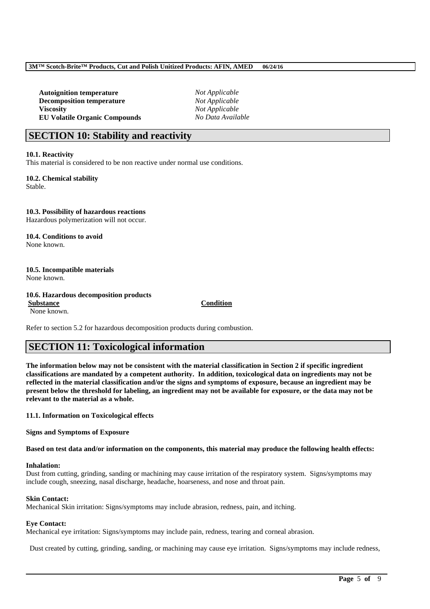**Autoignition temperature** *Not Applicable* **Decomposition temperature** *Not Applicable* **Viscosity** *Not Applicable* **EU Volatile Organic Compounds** *No Data Available*

# **SECTION 10: Stability and reactivity**

**10.1. Reactivity**

This material is considered to be non reactive under normal use conditions.

**10.2. Chemical stability** Stable.

**10.3. Possibility of hazardous reactions** Hazardous polymerization will not occur.

**10.4. Conditions to avoid** None known.

**10.5. Incompatible materials**

None known.

**10.6. Hazardous decomposition products**

None known.

## **Substance Condition**

Refer to section 5.2 for hazardous decomposition products during combustion.

# **SECTION 11: Toxicological information**

**The information below may not be consistent with the material classification in Section 2 if specific ingredient classifications are mandated by a competent authority. In addition, toxicological data on ingredients may not be reflected in the material classification and/or the signs and symptoms of exposure, because an ingredient may be present below the threshold for labeling, an ingredient may not be available for exposure, or the data may not be relevant to the material as a whole.**

**11.1. Information on Toxicological effects**

**Signs and Symptoms of Exposure**

**Based on test data and/or information on the components, this material may produce the following health effects:**

#### **Inhalation:**

Dust from cutting, grinding, sanding or machining may cause irritation of the respiratory system. Signs/symptoms may include cough, sneezing, nasal discharge, headache, hoarseness, and nose and throat pain.

## **Skin Contact:**

Mechanical Skin irritation: Signs/symptoms may include abrasion, redness, pain, and itching.

## **Eye Contact:**

Mechanical eye irritation: Signs/symptoms may include pain, redness, tearing and corneal abrasion.

Dust created by cutting, grinding, sanding, or machining may cause eye irritation. Signs/symptoms may include redness,

\_\_\_\_\_\_\_\_\_\_\_\_\_\_\_\_\_\_\_\_\_\_\_\_\_\_\_\_\_\_\_\_\_\_\_\_\_\_\_\_\_\_\_\_\_\_\_\_\_\_\_\_\_\_\_\_\_\_\_\_\_\_\_\_\_\_\_\_\_\_\_\_\_\_\_\_\_\_\_\_\_\_\_\_\_\_\_\_\_\_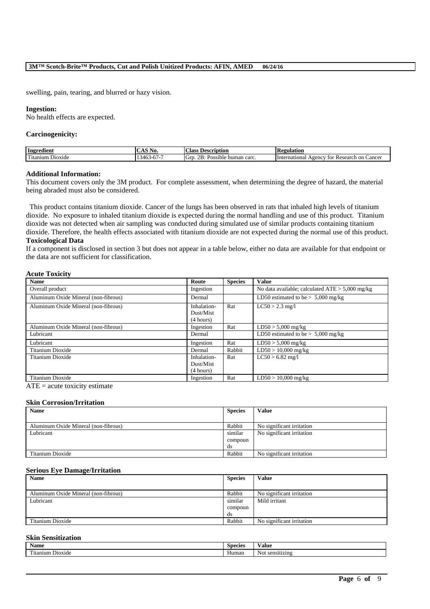swelling, pain, tearing, and blurred or hazy vision.

#### **Ingestion:**

No health effects are expected.

#### **Carcinogenicity:**

| Ingredient                                | $  -$<br>INO.<br>20 M.P | Aass:<br>Description                                                     | <b>'egulation</b><br>. IV.                                                               |
|-------------------------------------------|-------------------------|--------------------------------------------------------------------------|------------------------------------------------------------------------------------------|
| cran f<br>D <sub>10X1</sub> de<br>itanıum | $\lambda$<br>46<br>.    | $\ddot{\phantom{0}}$<br>-<br>ா<br>carc<br>リヘッ<br>'ossible<br>human<br>Uľ | Research<br>cancer<br><sub>on</sub><br>International<br>A <sub>genc</sub><br>tor<br>" Ku |

#### **Additional Information:**

This document covers only the 3M product. For complete assessment, when determining the degree of hazard, the material being abraded must also be considered.

This product contains titanium dioxide. Cancer of the lungs has been observed in rats that inhaled high levels of titanium dioxide. No exposure to inhaled titanium dioxide is expected during the normal handling and use of this product. Titanium dioxide was not detected when air sampling was conducted during simulated use of similar products containing titanium dioxide. Therefore, the health effects associated with titanium dioxide are not expected during the normal use of this product. **Toxicological Data**

If a component is disclosed in section 3 but does not appear in a table below, either no data are available for that endpoint or the data are not sufficient for classification.

### **Acute Toxicity**

| <b>Name</b>                          | Route                                 | <b>Species</b> | <b>Value</b>                                      |
|--------------------------------------|---------------------------------------|----------------|---------------------------------------------------|
| Overall product                      | Ingestion                             |                | No data available; calculated $ATE > 5,000$ mg/kg |
| Aluminum Oxide Mineral (non-fibrous) | Dermal                                |                | LD50 estimated to be $> 5,000$ mg/kg              |
| Aluminum Oxide Mineral (non-fibrous) | Inhalation-<br>Dust/Mist<br>(4 hours) | Rat            | $LC50 > 2.3$ mg/l                                 |
| Aluminum Oxide Mineral (non-fibrous) | Ingestion                             | Rat            | $LD50 > 5,000$ mg/kg                              |
| Lubricant                            | Dermal                                |                | LD50 estimated to be $> 5,000$ mg/kg              |
| Lubricant                            | Ingestion                             | Rat            | $LD50 > 5,000$ mg/kg                              |
| Titanium Dioxide                     | Dermal                                | Rabbit         | $LD50 > 10,000$ mg/kg                             |
| Titanium Dioxide                     | Inhalation-                           | Rat            | $LC50 > 6.82$ mg/l                                |
|                                      | Dust/Mist                             |                |                                                   |
|                                      | (4 hours)                             |                |                                                   |
| Titanium Dioxide                     | Ingestion                             | Rat            | $LD50 > 10,000$ mg/kg                             |

 $ATE = acute$  toxicity estimate

### **Skin Corrosion/Irritation**

| <b>Name</b>                          | <b>Species</b> | Value                     |
|--------------------------------------|----------------|---------------------------|
|                                      |                |                           |
| Aluminum Oxide Mineral (non-fibrous) | Rabbit         | No significant irritation |
| Lubricant                            | similar        | No significant irritation |
|                                      | compoun        |                           |
|                                      | ds             |                           |
| Titanium Dioxide                     | Rabbit         | No significant irritation |

#### **Serious Eye Damage/Irritation**

| <b>Name</b>                          | <b>Species</b> | <b>Value</b>              |
|--------------------------------------|----------------|---------------------------|
|                                      |                |                           |
| Aluminum Oxide Mineral (non-fibrous) | Rabbit         | No significant irritation |
| Lubricant                            | similar        | Mild irritant             |
|                                      | compoun        |                           |
|                                      | ds             |                           |
| Titanium Dioxide                     | Rabbit         | No significant irritation |

### **Skin Sensitization**

| Name             | -<br>Species | ⁄ alue              |
|------------------|--------------|---------------------|
| Titanium Dioxide | Human        | Not.<br>sensitizing |

\_\_\_\_\_\_\_\_\_\_\_\_\_\_\_\_\_\_\_\_\_\_\_\_\_\_\_\_\_\_\_\_\_\_\_\_\_\_\_\_\_\_\_\_\_\_\_\_\_\_\_\_\_\_\_\_\_\_\_\_\_\_\_\_\_\_\_\_\_\_\_\_\_\_\_\_\_\_\_\_\_\_\_\_\_\_\_\_\_\_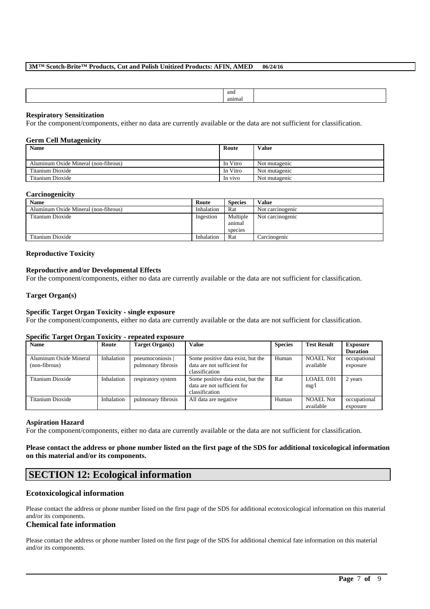| and   |  |
|-------|--|
| anıma |  |
|       |  |

### **Respiratory Sensitization**

For the component/components, either no data are currently available or the data are not sufficient for classification.

#### **Germ Cell Mutagenicity**

| <b>Name</b>                          | Route    | <b>Value</b>  |
|--------------------------------------|----------|---------------|
| Aluminum Oxide Mineral (non-fibrous) | In Vitro | Not mutagenic |
| Titanium Dioxide                     | In Vitro | Not mutagenic |
| Titanium Dioxide                     | In vivo  | Not mutagenic |

### **Carcinogenicity**

| <b>Name</b>                          | Route      | <b>Species</b> | <b>Value</b>     |
|--------------------------------------|------------|----------------|------------------|
| Aluminum Oxide Mineral (non-fibrous) | Inhalation | Rat            | Not carcinogenic |
| Titanium Dioxide                     | Ingestion  | Multiple       | Not carcinogenic |
|                                      |            | animal         |                  |
|                                      |            | species        |                  |
| Titanium Dioxide                     | Inhalation | Rat            | Carcinogenic     |

#### **Reproductive Toxicity**

#### **Reproductive and/or Developmental Effects**

For the component/components, either no data are currently available or the data are not sufficient for classification.

#### **Target Organ(s)**

## **Specific Target Organ Toxicity - single exposure**

For the component/components, either no data are currently available or the data are not sufficient for classification.

#### **Specific Target Organ Toxicity - repeated exposure**

| $\bullet$<br>$\overline{\phantom{a}}$ |            |                    |                                   |                |                    |                 |
|---------------------------------------|------------|--------------------|-----------------------------------|----------------|--------------------|-----------------|
| <b>Name</b>                           | Route      | Target Organ(s)    | <b>Value</b>                      | <b>Species</b> | <b>Test Result</b> | Exposure        |
|                                       |            |                    |                                   |                |                    | <b>Duration</b> |
| Aluminum Oxide Mineral                | Inhalation | pneumoconiosis     | Some positive data exist, but the | Human          | <b>NOAEL Not</b>   | occupational    |
| (non-fibrous)                         |            | pulmonary fibrosis | data are not sufficient for       |                | available          | exposure        |
|                                       |            |                    | classification                    |                |                    |                 |
| Titanium Dioxide                      | Inhalation | respiratory system | Some positive data exist, but the | Rat            | LOAEL 0.01         | 2 years         |
|                                       |            |                    | data are not sufficient for       |                | mg/l               |                 |
|                                       |            |                    | classification                    |                |                    |                 |
| Titanium Dioxide                      | Inhalation | pulmonary fibrosis | All data are negative             | Human          | <b>NOAEL Not</b>   | occupational    |
|                                       |            |                    |                                   |                | available          | exposure        |

#### **Aspiration Hazard**

For the component/components, either no data are currently available or the data are not sufficient for classification.

## **Please contact the address or phone number listed on the first page of the SDS for additional toxicological information on this material and/or its components.**

# **SECTION 12: Ecological information**

## **Ecotoxicological information**

Please contact the address or phone number listed on the first page of the SDS for additional ecotoxicological information on this material and/or its components.

## **Chemical fate information**

Please contact the address or phone number listed on the first page of the SDS for additional chemical fate information on this material and/or its components.

\_\_\_\_\_\_\_\_\_\_\_\_\_\_\_\_\_\_\_\_\_\_\_\_\_\_\_\_\_\_\_\_\_\_\_\_\_\_\_\_\_\_\_\_\_\_\_\_\_\_\_\_\_\_\_\_\_\_\_\_\_\_\_\_\_\_\_\_\_\_\_\_\_\_\_\_\_\_\_\_\_\_\_\_\_\_\_\_\_\_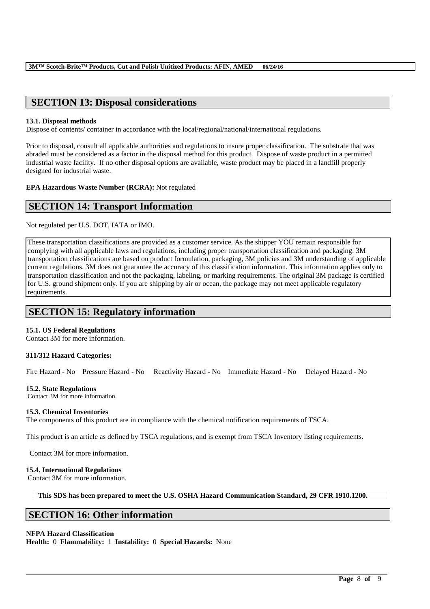# **SECTION 13: Disposal considerations**

### **13.1. Disposal methods**

Dispose of contents/ container in accordance with the local/regional/national/international regulations.

Prior to disposal, consult all applicable authorities and regulations to insure proper classification. The substrate that was abraded must be considered as a factor in the disposal method for this product. Dispose of waste product in a permitted industrial waste facility. If no other disposal options are available, waste product may be placed in a landfill properly designed for industrial waste.

**EPA Hazardous Waste Number (RCRA):** Not regulated

## **SECTION 14: Transport Information**

Not regulated per U.S. DOT, IATA or IMO.

These transportation classifications are provided as a customer service. As the shipper YOU remain responsible for complying with all applicable laws and regulations, including proper transportation classification and packaging. 3M transportation classifications are based on product formulation, packaging, 3M policies and 3M understanding of applicable current regulations. 3M does not guarantee the accuracy of this classification information. This information applies only to transportation classification and not the packaging, labeling, or marking requirements. The original 3M package is certified for U.S. ground shipment only. If you are shipping by air or ocean, the package may not meet applicable regulatory requirements.

# **SECTION 15: Regulatory information**

## **15.1. US Federal Regulations**

Contact 3M for more information.

## **311/312 Hazard Categories:**

Fire Hazard - No Pressure Hazard - No Reactivity Hazard - No Immediate Hazard - No Delayed Hazard - No

### **15.2. State Regulations**

Contact 3M for more information.

#### **15.3. Chemical Inventories**

The components of this product are in compliance with the chemical notification requirements of TSCA.

This product is an article as defined by TSCA regulations, and is exempt from TSCA Inventory listing requirements.

Contact 3M for more information.

## **15.4. International Regulations**

Contact 3M for more information.

**This SDS has been prepared to meet the U.S. OSHA Hazard Communication Standard, 29 CFR 1910.1200.**

\_\_\_\_\_\_\_\_\_\_\_\_\_\_\_\_\_\_\_\_\_\_\_\_\_\_\_\_\_\_\_\_\_\_\_\_\_\_\_\_\_\_\_\_\_\_\_\_\_\_\_\_\_\_\_\_\_\_\_\_\_\_\_\_\_\_\_\_\_\_\_\_\_\_\_\_\_\_\_\_\_\_\_\_\_\_\_\_\_\_

# **SECTION 16: Other information**

## **NFPA Hazard Classification**

**Health:** 0 **Flammability:** 1 **Instability:** 0 **Special Hazards:** None